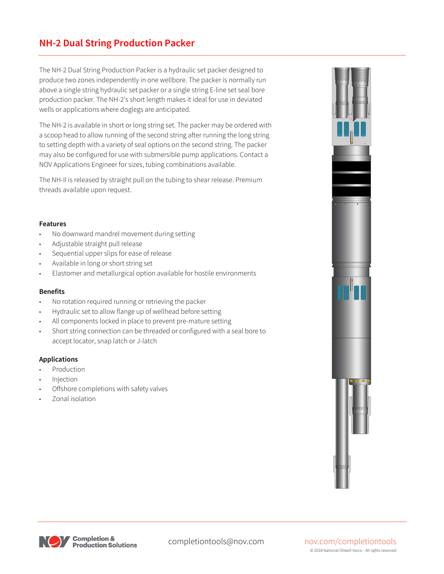### **NH-2 Dual String Production Packer**

The NH-2 Dual String Production Packer is a hydraulic set packer designed to produce two zones independently in one wellbore. The packer is normally run above a single string hydraulic set packer or a single string E-line set seal bore production packer. The NH-2's short length makes it ideal for use in deviated wells or applications where doglegs are anticipated.

The NH-2 is available in short or long string set. The packer may be ordered with a scoop head to allow running of the second string after running the long string to setting depth with a variety of seal options on the second string. The packer may also be configured for use with submersible pump applications. Contact a NOV Applications Engineer for sizes, tubing combinations available.

The NH-II is released by straight pull on the tubing to shear release. Premium threads available upon request.

#### **Features**

- No downward mandrel movement during setting
- Adjustable straight pull release
- Sequential upper slips for ease of release
- Available in long or short string set
- Elastomer and metallurgical option available for hostile environments

#### **Benefits**

- No rotation required running or retrieving the packer
- Hydraulic set to allow flange up of wellhead before setting
- All components locked in place to prevent pre-mature setting
- Short string connection can be threaded or configured with a seal bore to accept locator, snap latch or J-latch

#### **Applications**

- **Production**
- **Injection**
- Offshore completions with safety valves
- Zonal isolation





# © 2018 National Oilwell Varco - All rights reserved